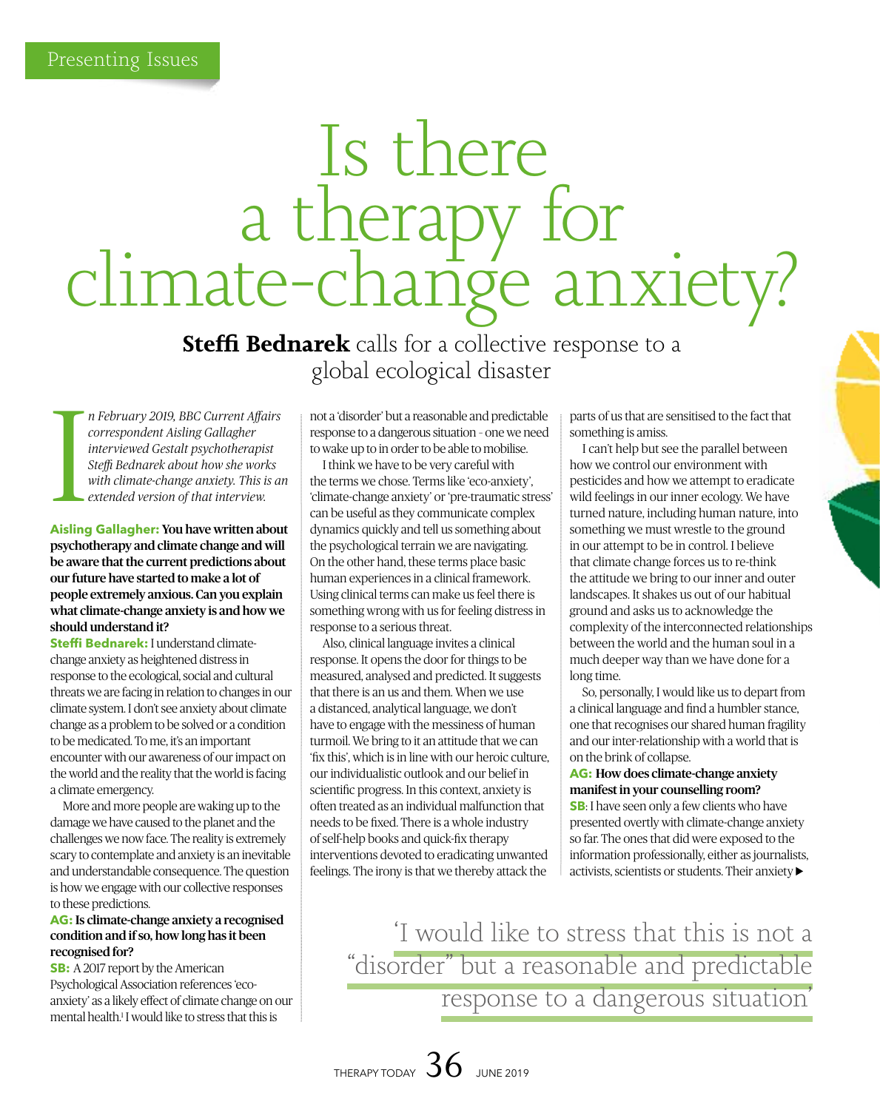# Is there a therapy for<br>climate-change anxiety?

**Steffi Bednarek** calls for a collective response to a global ecological disaster

I *n February 2019, BBC Current Affairs correspondent Aisling Gallagher interviewed Gestalt psychotherapist Steffi Bednarek about how she works with climate-change anxiety. This is an extended version of that interview.* 

# **Aisling Gallagher:** You have written about psychotherapy and climate change and will be aware that the current predictions about our future have started to make a lot of people extremely anxious. Can you explain what climate-change anxiety is and how we should understand it?

**Steffi Bednarek:** I understand climatechange anxiety as heightened distress in response to the ecological, social and cultural threats we are facing in relation to changes in our climate system. I don't see anxiety about climate change as a problem to be solved or a condition to be medicated. To me, it's an important encounter with our awareness of our impact on the world and the reality that the world is facing a climate emergency.

More and more people are waking up to the damage we have caused to the planet and the challenges we now face. The reality is extremely scary to contemplate and anxiety is an inevitable and understandable consequence. The question is how we engage with our collective responses to these predictions.

# **AG:** Is climate-change anxiety a recognised condition and if so, how long has it been recognised for?

**SB:** A 2017 report by the American Psychological Association references 'ecoanxiety' as a likely effect of climate change on our mental health.<sup>1</sup> I would like to stress that this is

not a 'disorder' but a reasonable and predictable response to a dangerous situation – one we need to wake up to in order to be able to mobilise.

I think we have to be very careful with the terms we chose. Terms like 'eco-anxiety', 'climate-change anxiety' or 'pre-traumatic stress' can be useful as they communicate complex dynamics quickly and tell us something about the psychological terrain we are navigating. On the other hand, these terms place basic human experiences in a clinical framework. Using clinical terms can make us feel there is something wrong with us for feeling distress in response to a serious threat.

Also, clinical language invites a clinical response. It opens the door for things to be measured, analysed and predicted. It suggests that there is an us and them. When we use a distanced, analytical language, we don't have to engage with the messiness of human turmoil. We bring to it an attitude that we can 'fix this', which is in line with our heroic culture, our individualistic outlook and our belief in scientific progress. In this context, anxiety is often treated as an individual malfunction that needs to be fixed. There is a whole industry of self-help books and quick-fix therapy interventions devoted to eradicating unwanted feelings. The irony is that we thereby attack the

parts of us that are sensitised to the fact that something is amiss.

I can't help but see the parallel between how we control our environment with pesticides and how we attempt to eradicate wild feelings in our inner ecology. We have turned nature, including human nature, into something we must wrestle to the ground in our attempt to be in control. I believe that climate change forces us to re-think the attitude we bring to our inner and outer landscapes. It shakes us out of our habitual ground and asks us to acknowledge the complexity of the interconnected relationships between the world and the human soul in a much deeper way than we have done for a long time.

So, personally, I would like us to depart from a clinical language and find a humbler stance, one that recognises our shared human fragility and our inter-relationship with a world that is on the brink of collapse.

# **AG:** How does climate-change anxiety manifest in your counselling room?

**SB**: I have seen only a few clients who have presented overtly with climate-change anxiety so far. The ones that did were exposed to the information professionally, either as journalists, activists, scientists or students. Their anxiety

'I would like to stress that this is not a "disorder" but a reasonable and predictable response to a dangerous situation'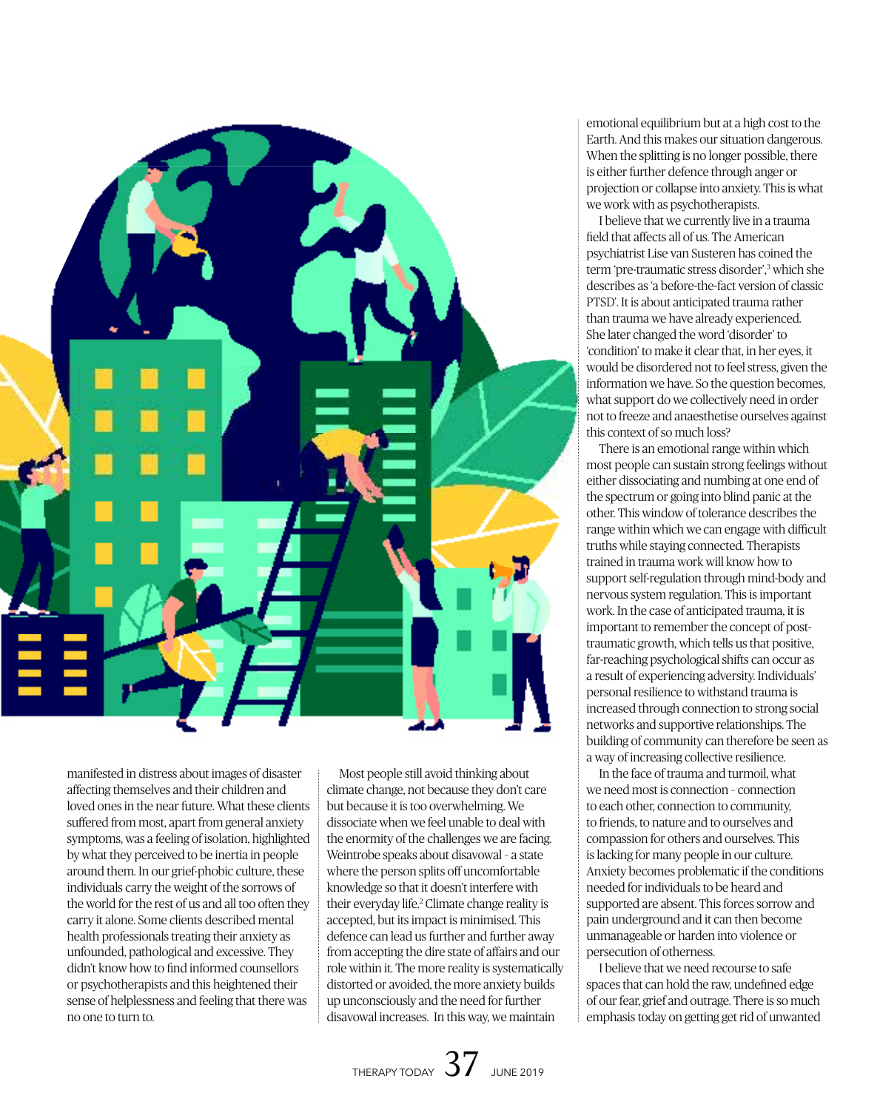

manifested in distress about images of disaster affecting themselves and their children and loved ones in the near future. What these clients suffered from most, apart from general anxiety symptoms, was a feeling of isolation, highlighted by what they perceived to be inertia in people around them. In our grief-phobic culture, these individuals carry the weight of the sorrows of the world for the rest of us and all too often they carry it alone. Some clients described mental health professionals treating their anxiety as unfounded, pathological and excessive. They didn't know how to find informed counsellors or psychotherapists and this heightened their sense of helplessness and feeling that there was no one to turn to.

Most people still avoid thinking about climate change, not because they don't care but because it is too overwhelming. We dissociate when we feel unable to deal with the enormity of the challenges we are facing. Weintrobe speaks about disavowal – a state where the person splits off uncomfortable knowledge so that it doesn't interfere with their everyday life.2 Climate change reality is accepted, but its impact is minimised. This defence can lead us further and further away from accepting the dire state of affairs and our role within it. The more reality is systematically distorted or avoided, the more anxiety builds up unconsciously and the need for further disavowal increases. In this way, we maintain

emotional equilibrium but at a high cost to the Earth. And this makes our situation dangerous. When the splitting is no longer possible, there is either further defence through anger or projection or collapse into anxiety. This is what we work with as psychotherapists.

I believe that we currently live in a trauma field that affects all of us. The American psychiatrist Lise van Susteren has coined the term 'pre-traumatic stress disorder',3 which she describes as 'a before-the-fact version of classic PTSD'. It is about anticipated trauma rather than trauma we have already experienced. She later changed the word 'disorder' to 'condition' to make it clear that, in her eyes, it would be disordered not to feel stress, given the information we have. So the question becomes, what support do we collectively need in order not to freeze and anaesthetise ourselves against this context of so much loss?

There is an emotional range within which most people can sustain strong feelings without either dissociating and numbing at one end of the spectrum or going into blind panic at the other. This window of tolerance describes the range within which we can engage with difficult truths while staying connected. Therapists trained in trauma work will know how to support self-regulation through mind-body and nervous system regulation. This is important work. In the case of anticipated trauma, it is important to remember the concept of posttraumatic growth, which tells us that positive, far-reaching psychological shifts can occur as a result of experiencing adversity. Individuals' personal resilience to withstand trauma is increased through connection to strong social networks and supportive relationships. The building of community can therefore be seen as a way of increasing collective resilience.

In the face of trauma and turmoil, what we need most is connection – connection to each other, connection to community, to friends, to nature and to ourselves and compassion for others and ourselves. This is lacking for many people in our culture. Anxiety becomes problematic if the conditions needed for individuals to be heard and supported are absent. This forces sorrow and pain underground and it can then become unmanageable or harden into violence or persecution of otherness.

I believe that we need recourse to safe spaces that can hold the raw, undefined edge of our fear, grief and outrage. There is so much emphasis today on getting get rid of unwanted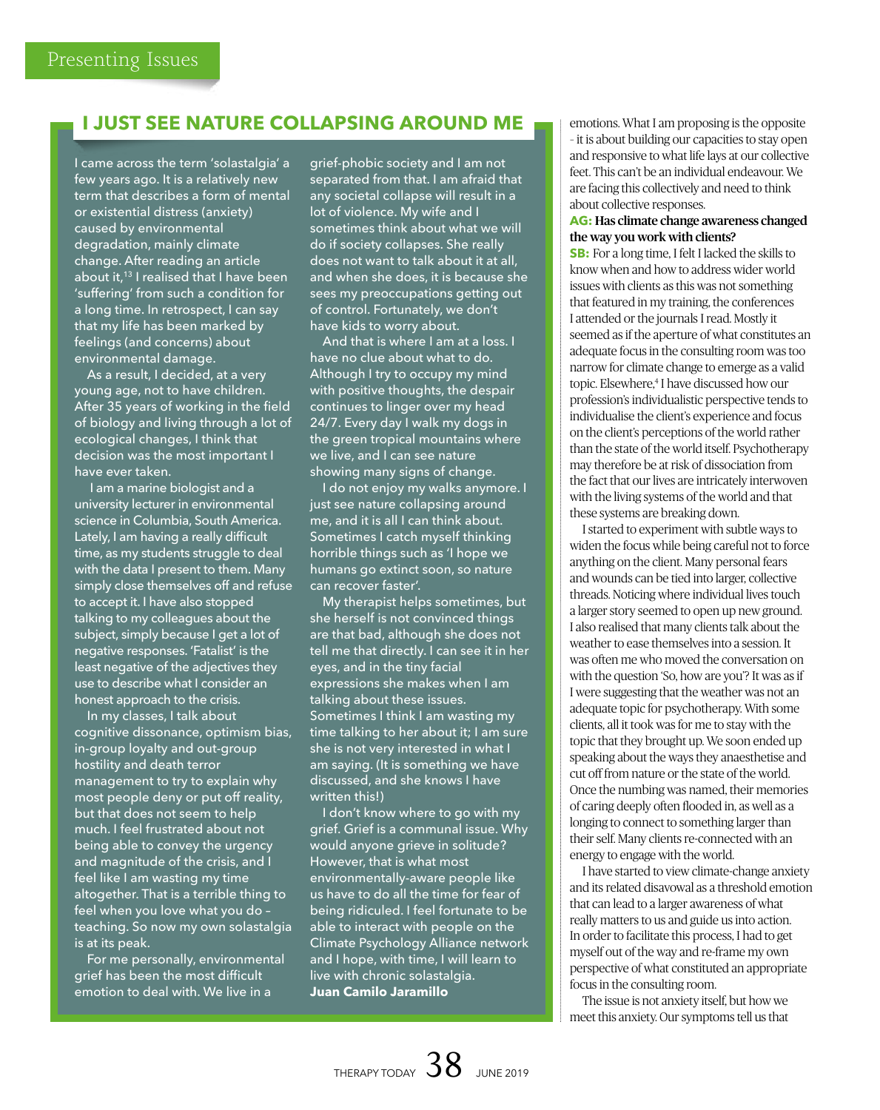# **I JUST SEE NATURE COLLAPSING AROUND ME**

I came across the term 'solastalgia' a few years ago. It is a relatively new term that describes a form of mental or existential distress (anxiety) caused by environmental degradation, mainly climate change. After reading an article about it,<sup>13</sup> I realised that I have been 'suffering' from such a condition for a long time. In retrospect, I can say that my life has been marked by feelings (and concerns) about environmental damage.

As a result, I decided, at a very young age, not to have children. After 35 years of working in the field of biology and living through a lot of ecological changes, I think that decision was the most important I have ever taken.

 I am a marine biologist and a university lecturer in environmental science in Columbia, South America. Lately, I am having a really difficult time, as my students struggle to deal with the data I present to them. Many simply close themselves off and refuse to accept it. I have also stopped talking to my colleagues about the subject, simply because I get a lot of negative responses. 'Fatalist' is the least negative of the adjectives they use to describe what I consider an honest approach to the crisis.

In my classes, I talk about cognitive dissonance, optimism bias, in-group loyalty and out-group hostility and death terror management to try to explain why most people deny or put off reality, but that does not seem to help much. I feel frustrated about not being able to convey the urgency and magnitude of the crisis, and I feel like I am wasting my time altogether. That is a terrible thing to feel when you love what you do – teaching. So now my own solastalgia is at its peak.

For me personally, environmental grief has been the most difficult emotion to deal with. We live in a

grief-phobic society and I am not separated from that. I am afraid that any societal collapse will result in a lot of violence. My wife and I sometimes think about what we will do if society collapses. She really does not want to talk about it at all, and when she does, it is because she sees my preoccupations getting out of control. Fortunately, we don't have kids to worry about.

And that is where I am at a loss. I have no clue about what to do. Although I try to occupy my mind with positive thoughts, the despair continues to linger over my head 24/7. Every day I walk my dogs in the green tropical mountains where we live, and I can see nature showing many signs of change.

I do not enjoy my walks anymore. I just see nature collapsing around me, and it is all I can think about. Sometimes I catch myself thinking horrible things such as 'I hope we humans go extinct soon, so nature can recover faster'.

My therapist helps sometimes, but she herself is not convinced things are that bad, although she does not tell me that directly. I can see it in her eyes, and in the tiny facial expressions she makes when I am talking about these issues. Sometimes I think I am wasting my time talking to her about it; I am sure she is not very interested in what I am saying. (It is something we have discussed, and she knows I have written this!)

I don't know where to go with my grief. Grief is a communal issue. Why would anyone grieve in solitude? However, that is what most environmentally-aware people like us have to do all the time for fear of being ridiculed. I feel fortunate to be able to interact with people on the Climate Psychology Alliance network and I hope, with time, I will learn to live with chronic solastalgia. **Juan Camilo Jaramillo** 

emotions. What I am proposing is the opposite – it is about building our capacities to stay open and responsive to what life lays at our collective feet. This can't be an individual endeavour. We are facing this collectively and need to think about collective responses.

# **AG:** Has climate change awareness changed the way you work with clients?

**SB:** For a long time, I felt I lacked the skills to know when and how to address wider world issues with clients as this was not something that featured in my training, the conferences I attended or the journals I read. Mostly it seemed as if the aperture of what constitutes an adequate focus in the consulting room was too narrow for climate change to emerge as a valid topic. Elsewhere,4 I have discussed how our profession's individualistic perspective tends to individualise the client's experience and focus on the client's perceptions of the world rather than the state of the world itself. Psychotherapy may therefore be at risk of dissociation from the fact that our lives are intricately interwoven with the living systems of the world and that these systems are breaking down.

I started to experiment with subtle ways to widen the focus while being careful not to force anything on the client. Many personal fears and wounds can be tied into larger, collective threads. Noticing where individual lives touch a larger story seemed to open up new ground. I also realised that many clients talk about the weather to ease themselves into a session. It was often me who moved the conversation on with the question 'So, how are you'? It was as if I were suggesting that the weather was not an adequate topic for psychotherapy. With some clients, all it took was for me to stay with the topic that they brought up. We soon ended up speaking about the ways they anaesthetise and cut off from nature or the state of the world. Once the numbing was named, their memories of caring deeply often flooded in, as well as a longing to connect to something larger than their self. Many clients re-connected with an energy to engage with the world.

I have started to view climate-change anxiety and its related disavowal as a threshold emotion that can lead to a larger awareness of what really matters to us and guide us into action. In order to facilitate this process, I had to get myself out of the way and re-frame my own perspective of what constituted an appropriate focus in the consulting room.

The issue is not anxiety itself, but how we meet this anxiety. Our symptoms tell us that